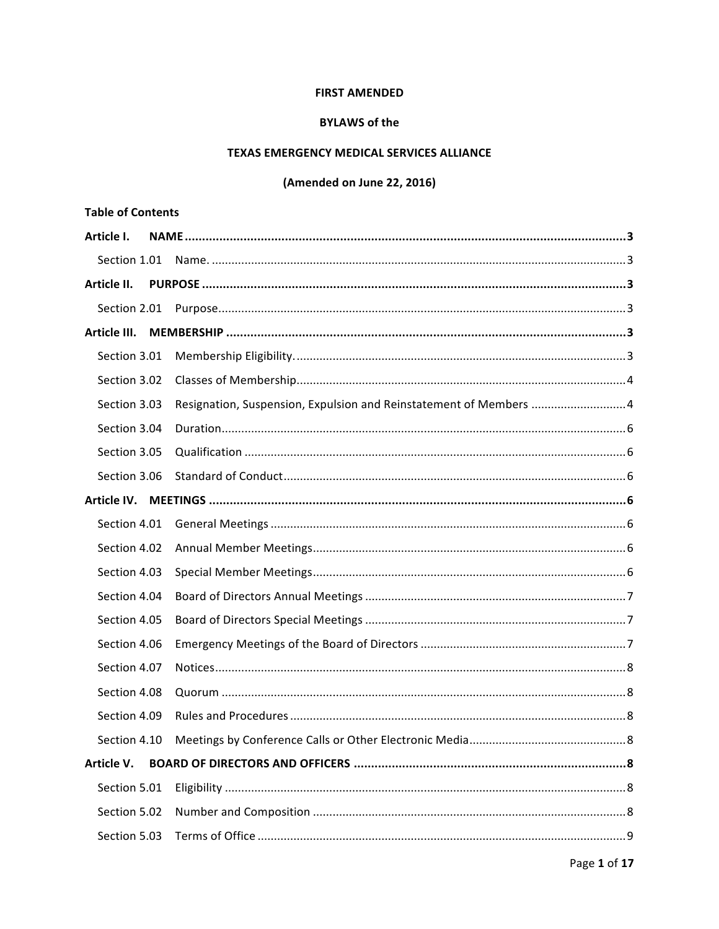### **FIRST AMENDED**

#### **BYLAWS of the**

### TEXAS EMERGENCY MEDICAL SERVICES ALLIANCE

# (Amended on June 22, 2016)

| <b>Table of Contents</b> |                                                                    |
|--------------------------|--------------------------------------------------------------------|
| Article I.               |                                                                    |
| Section 1.01             |                                                                    |
| Article II.              |                                                                    |
|                          |                                                                    |
| Article III.             |                                                                    |
| Section 3.01             |                                                                    |
| Section 3.02             |                                                                    |
| Section 3.03             | Resignation, Suspension, Expulsion and Reinstatement of Members  4 |
| Section 3.04             |                                                                    |
| Section 3.05             |                                                                    |
| Section 3.06             |                                                                    |
|                          |                                                                    |
| Section 4.01             |                                                                    |
| Section 4.02             |                                                                    |
| Section 4.03             |                                                                    |
| Section 4.04             |                                                                    |
| Section 4.05             |                                                                    |
| Section 4.06             |                                                                    |
| Section 4.07             |                                                                    |
| Section 4.08             |                                                                    |
| Section 4.09             |                                                                    |
| Section 4.10             |                                                                    |
| Article V.               |                                                                    |
| Section 5.01             |                                                                    |
| Section 5.02             |                                                                    |
| Section 5.03             |                                                                    |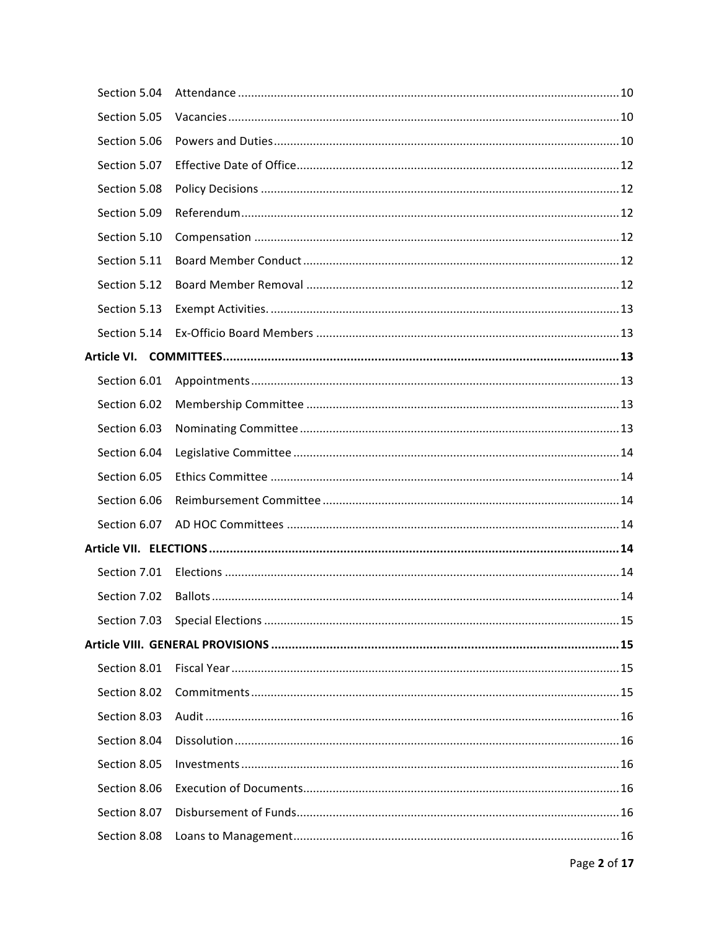| Section 5.04 |  |
|--------------|--|
| Section 5.05 |  |
| Section 5.06 |  |
| Section 5.07 |  |
| Section 5.08 |  |
| Section 5.09 |  |
| Section 5.10 |  |
| Section 5.11 |  |
| Section 5.12 |  |
| Section 5.13 |  |
| Section 5.14 |  |
|              |  |
| Section 6.01 |  |
| Section 6.02 |  |
| Section 6.03 |  |
| Section 6.04 |  |
| Section 6.05 |  |
| Section 6.06 |  |
| Section 6.07 |  |
|              |  |
| Section 7.01 |  |
|              |  |
|              |  |
|              |  |
| Section 8.01 |  |
| Section 8.02 |  |
| Section 8.03 |  |
| Section 8.04 |  |
| Section 8.05 |  |
| Section 8.06 |  |
| Section 8.07 |  |
| Section 8.08 |  |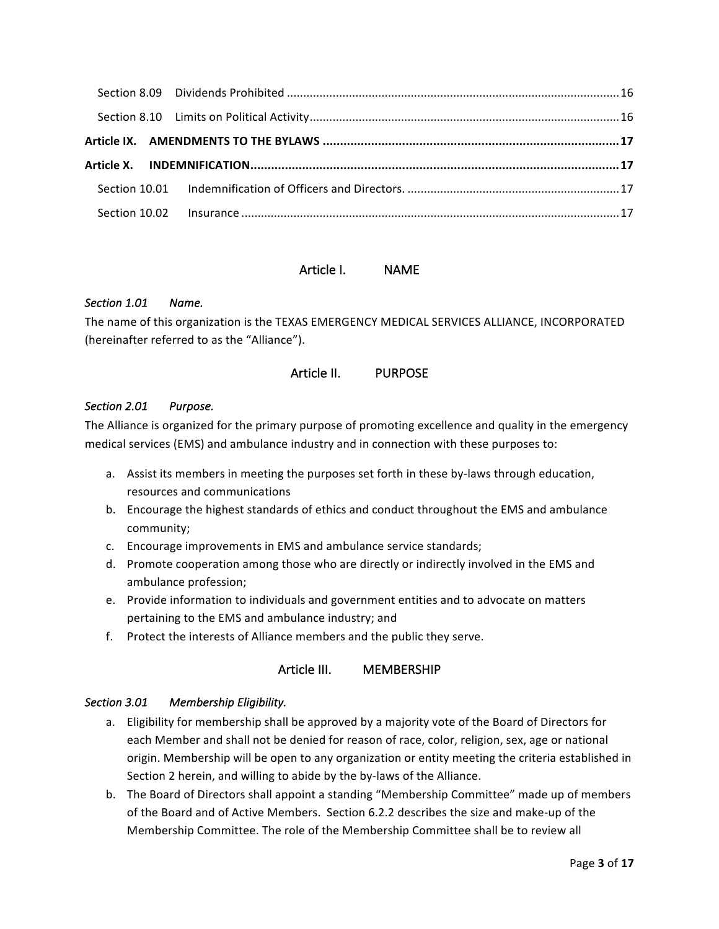### Article I. NAME

### Section 1.01 **Name.**

The name of this organization is the TEXAS EMERGENCY MEDICAL SERVICES ALLIANCE, INCORPORATED (hereinafter referred to as the "Alliance").

### Article II. PURPOSE

#### *Section 2.01 Purpose.*

The Alliance is organized for the primary purpose of promoting excellence and quality in the emergency medical services (EMS) and ambulance industry and in connection with these purposes to:

- a. Assist its members in meeting the purposes set forth in these by-laws through education, resources and communications
- b. Encourage the highest standards of ethics and conduct throughout the EMS and ambulance community;
- c. Encourage improvements in EMS and ambulance service standards;
- d. Promote cooperation among those who are directly or indirectly involved in the EMS and ambulance profession;
- e. Provide information to individuals and government entities and to advocate on matters pertaining to the EMS and ambulance industry; and
- f. Protect the interests of Alliance members and the public they serve.

### Article III. MEMBERSHIP

### Section 3.01 Membership Eligibility.

- a. Eligibility for membership shall be approved by a majority vote of the Board of Directors for each Member and shall not be denied for reason of race, color, religion, sex, age or national origin. Membership will be open to any organization or entity meeting the criteria established in Section 2 herein, and willing to abide by the by-laws of the Alliance.
- b. The Board of Directors shall appoint a standing "Membership Committee" made up of members of the Board and of Active Members. Section 6.2.2 describes the size and make-up of the Membership Committee. The role of the Membership Committee shall be to review all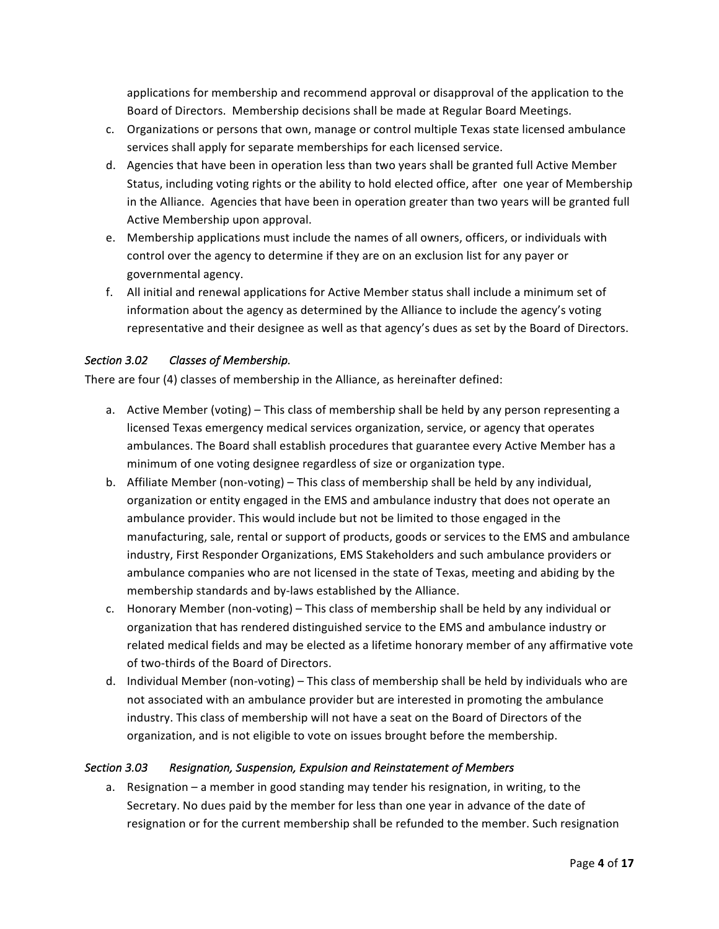applications for membership and recommend approval or disapproval of the application to the Board of Directors. Membership decisions shall be made at Regular Board Meetings.

- c. Organizations or persons that own, manage or control multiple Texas state licensed ambulance services shall apply for separate memberships for each licensed service.
- d. Agencies that have been in operation less than two years shall be granted full Active Member Status, including voting rights or the ability to hold elected office, after one year of Membership in the Alliance. Agencies that have been in operation greater than two years will be granted full Active Membership upon approval.
- e. Membership applications must include the names of all owners, officers, or individuals with control over the agency to determine if they are on an exclusion list for any payer or governmental agency.
- f. All initial and renewal applications for Active Member status shall include a minimum set of information about the agency as determined by the Alliance to include the agency's voting representative and their designee as well as that agency's dues as set by the Board of Directors.

### Section 3.02 Classes of Membership.

There are four (4) classes of membership in the Alliance, as hereinafter defined:

- a. Active Member (voting) This class of membership shall be held by any person representing a licensed Texas emergency medical services organization, service, or agency that operates ambulances. The Board shall establish procedures that guarantee every Active Member has a minimum of one voting designee regardless of size or organization type.
- b. Affiliate Member (non-voting) This class of membership shall be held by any individual, organization or entity engaged in the EMS and ambulance industry that does not operate an ambulance provider. This would include but not be limited to those engaged in the manufacturing, sale, rental or support of products, goods or services to the EMS and ambulance industry, First Responder Organizations, EMS Stakeholders and such ambulance providers or ambulance companies who are not licensed in the state of Texas, meeting and abiding by the membership standards and by-laws established by the Alliance.
- c. Honorary Member (non-voting) This class of membership shall be held by any individual or organization that has rendered distinguished service to the EMS and ambulance industry or related medical fields and may be elected as a lifetime honorary member of any affirmative vote of two-thirds of the Board of Directors.
- d. Individual Member (non-voting) This class of membership shall be held by individuals who are not associated with an ambulance provider but are interested in promoting the ambulance industry. This class of membership will not have a seat on the Board of Directors of the organization, and is not eligible to vote on issues brought before the membership.

### Section 3.03 Resignation, Suspension, Expulsion and Reinstatement of Members

a. Resignation - a member in good standing may tender his resignation, in writing, to the Secretary. No dues paid by the member for less than one year in advance of the date of resignation or for the current membership shall be refunded to the member. Such resignation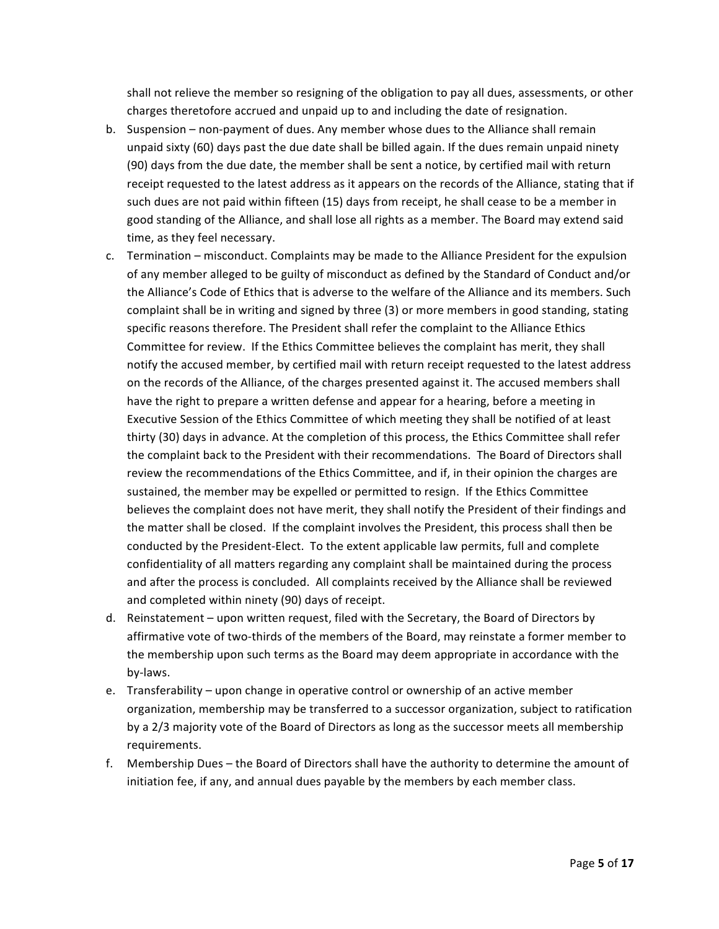shall not relieve the member so resigning of the obligation to pay all dues, assessments, or other charges theretofore accrued and unpaid up to and including the date of resignation.

- b. Suspension non-payment of dues. Any member whose dues to the Alliance shall remain unpaid sixty (60) days past the due date shall be billed again. If the dues remain unpaid ninety (90) days from the due date, the member shall be sent a notice, by certified mail with return receipt requested to the latest address as it appears on the records of the Alliance, stating that if such dues are not paid within fifteen (15) days from receipt, he shall cease to be a member in good standing of the Alliance, and shall lose all rights as a member. The Board may extend said time, as they feel necessary.
- c. Termination misconduct. Complaints may be made to the Alliance President for the expulsion of any member alleged to be guilty of misconduct as defined by the Standard of Conduct and/or the Alliance's Code of Ethics that is adverse to the welfare of the Alliance and its members. Such complaint shall be in writing and signed by three (3) or more members in good standing, stating specific reasons therefore. The President shall refer the complaint to the Alliance Ethics Committee for review. If the Ethics Committee believes the complaint has merit, they shall notify the accused member, by certified mail with return receipt requested to the latest address on the records of the Alliance, of the charges presented against it. The accused members shall have the right to prepare a written defense and appear for a hearing, before a meeting in Executive Session of the Ethics Committee of which meeting they shall be notified of at least thirty (30) days in advance. At the completion of this process, the Ethics Committee shall refer the complaint back to the President with their recommendations. The Board of Directors shall review the recommendations of the Ethics Committee, and if, in their opinion the charges are sustained, the member may be expelled or permitted to resign. If the Ethics Committee believes the complaint does not have merit, they shall notify the President of their findings and the matter shall be closed. If the complaint involves the President, this process shall then be conducted by the President-Elect. To the extent applicable law permits, full and complete confidentiality of all matters regarding any complaint shall be maintained during the process and after the process is concluded. All complaints received by the Alliance shall be reviewed and completed within ninety (90) days of receipt.
- d. Reinstatement upon written request, filed with the Secretary, the Board of Directors by affirmative vote of two-thirds of the members of the Board, may reinstate a former member to the membership upon such terms as the Board may deem appropriate in accordance with the by-laws.
- e. Transferability upon change in operative control or ownership of an active member organization, membership may be transferred to a successor organization, subject to ratification by a 2/3 majority vote of the Board of Directors as long as the successor meets all membership requirements.
- f. Membership Dues the Board of Directors shall have the authority to determine the amount of initiation fee, if any, and annual dues payable by the members by each member class.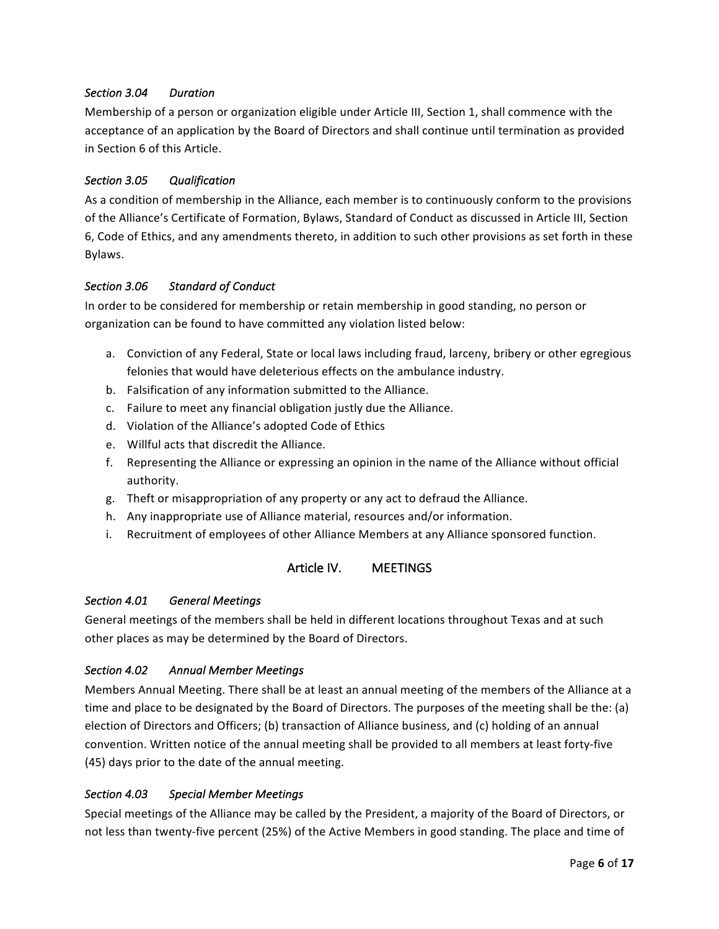### *Section 3.04 Duration*

Membership of a person or organization eligible under Article III, Section 1, shall commence with the acceptance of an application by the Board of Directors and shall continue until termination as provided in Section 6 of this Article.

### *Section 3.05 Qualification*

As a condition of membership in the Alliance, each member is to continuously conform to the provisions of the Alliance's Certificate of Formation, Bylaws, Standard of Conduct as discussed in Article III, Section 6, Code of Ethics, and any amendments thereto, in addition to such other provisions as set forth in these Bylaws.

### *Section 3.06 Standard of Conduct*

In order to be considered for membership or retain membership in good standing, no person or organization can be found to have committed any violation listed below:

- a. Conviction of any Federal, State or local laws including fraud, larceny, bribery or other egregious felonies that would have deleterious effects on the ambulance industry.
- b. Falsification of any information submitted to the Alliance.
- c. Failure to meet any financial obligation justly due the Alliance.
- d. Violation of the Alliance's adopted Code of Ethics
- e. Willful acts that discredit the Alliance.
- f. Representing the Alliance or expressing an opinion in the name of the Alliance without official authority.
- g. Theft or misappropriation of any property or any act to defraud the Alliance.
- h. Any inappropriate use of Alliance material, resources and/or information.
- i. Recruitment of employees of other Alliance Members at any Alliance sponsored function.

## Article IV. MEETINGS

#### *Section 4.01 General Meetings*

General meetings of the members shall be held in different locations throughout Texas and at such other places as may be determined by the Board of Directors.

### *Section 4.02 Annual Member Meetings*

Members Annual Meeting. There shall be at least an annual meeting of the members of the Alliance at a time and place to be designated by the Board of Directors. The purposes of the meeting shall be the: (a) election of Directors and Officers; (b) transaction of Alliance business, and (c) holding of an annual convention. Written notice of the annual meeting shall be provided to all members at least forty-five (45) days prior to the date of the annual meeting.

### *Section 4.03 Special Member Meetings*

Special meetings of the Alliance may be called by the President, a majority of the Board of Directors, or not less than twenty-five percent (25%) of the Active Members in good standing. The place and time of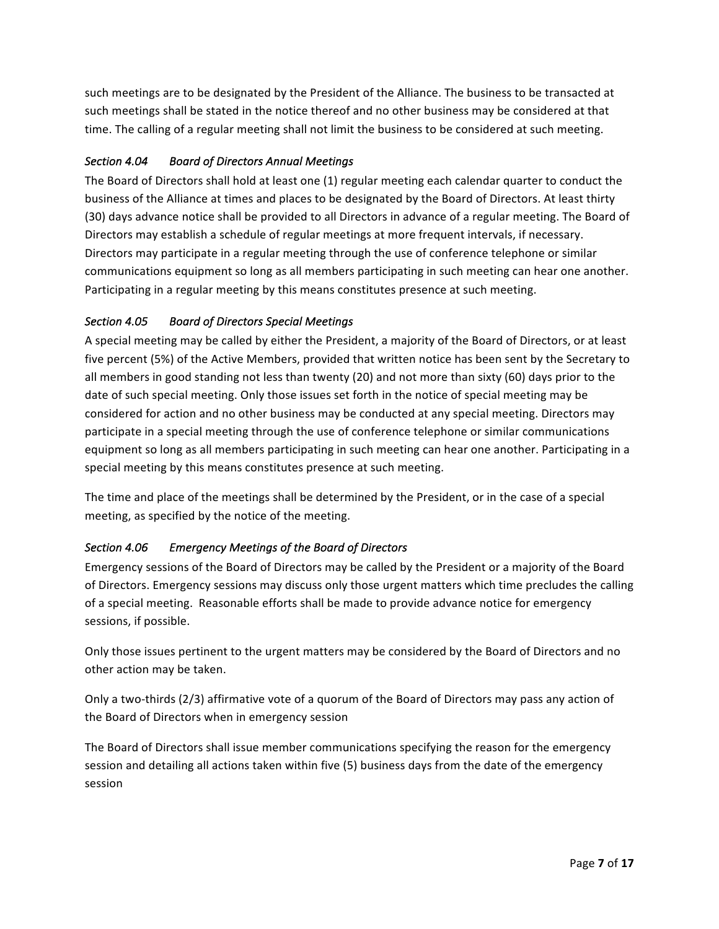such meetings are to be designated by the President of the Alliance. The business to be transacted at such meetings shall be stated in the notice thereof and no other business may be considered at that time. The calling of a regular meeting shall not limit the business to be considered at such meeting.

# *Section 4.04 Board of Directors Annual Meetings*

The Board of Directors shall hold at least one (1) regular meeting each calendar quarter to conduct the business of the Alliance at times and places to be designated by the Board of Directors. At least thirty (30) days advance notice shall be provided to all Directors in advance of a regular meeting. The Board of Directors may establish a schedule of regular meetings at more frequent intervals, if necessary. Directors may participate in a regular meeting through the use of conference telephone or similar communications equipment so long as all members participating in such meeting can hear one another. Participating in a regular meeting by this means constitutes presence at such meeting.

## *Section 4.05 Board of Directors Special Meetings*

A special meeting may be called by either the President, a majority of the Board of Directors, or at least five percent (5%) of the Active Members, provided that written notice has been sent by the Secretary to all members in good standing not less than twenty (20) and not more than sixty (60) days prior to the date of such special meeting. Only those issues set forth in the notice of special meeting may be considered for action and no other business may be conducted at any special meeting. Directors may participate in a special meeting through the use of conference telephone or similar communications equipment so long as all members participating in such meeting can hear one another. Participating in a special meeting by this means constitutes presence at such meeting.

The time and place of the meetings shall be determined by the President, or in the case of a special meeting, as specified by the notice of the meeting.

## Section 4.06 **Emergency Meetings of the Board of Directors**

Emergency sessions of the Board of Directors may be called by the President or a majority of the Board of Directors. Emergency sessions may discuss only those urgent matters which time precludes the calling of a special meeting. Reasonable efforts shall be made to provide advance notice for emergency sessions, if possible.

Only those issues pertinent to the urgent matters may be considered by the Board of Directors and no other action may be taken.

Only a two-thirds (2/3) affirmative vote of a quorum of the Board of Directors may pass any action of the Board of Directors when in emergency session

The Board of Directors shall issue member communications specifying the reason for the emergency session and detailing all actions taken within five (5) business days from the date of the emergency session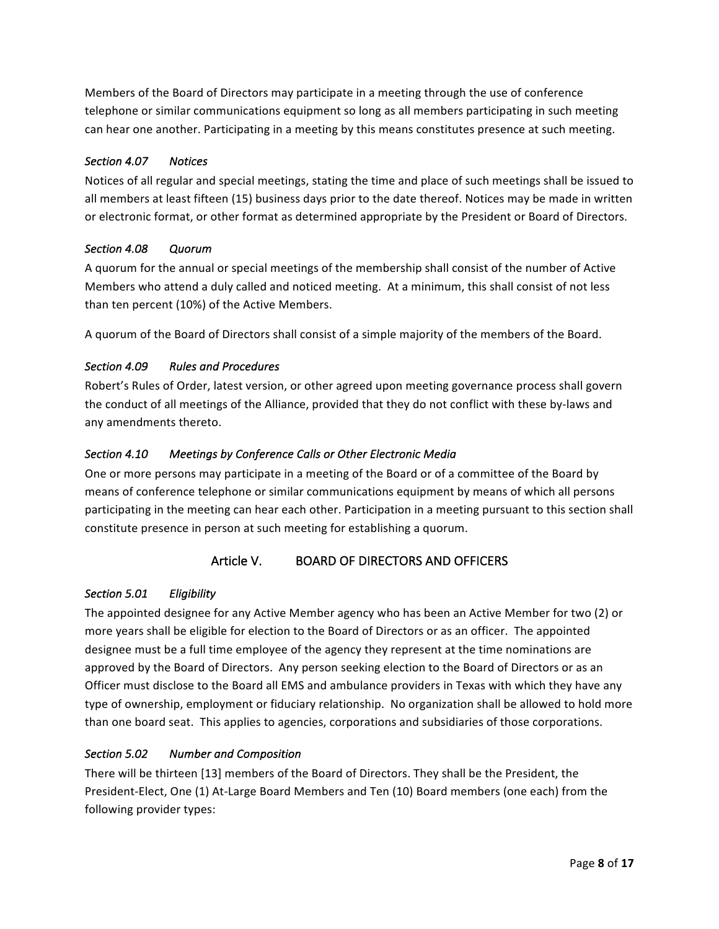Members of the Board of Directors may participate in a meeting through the use of conference telephone or similar communications equipment so long as all members participating in such meeting can hear one another. Participating in a meeting by this means constitutes presence at such meeting.

## *Section 4.07 Notices*

Notices of all regular and special meetings, stating the time and place of such meetings shall be issued to all members at least fifteen (15) business days prior to the date thereof. Notices may be made in written or electronic format, or other format as determined appropriate by the President or Board of Directors.

### *Section 4.08 Quorum*

A quorum for the annual or special meetings of the membership shall consist of the number of Active Members who attend a duly called and noticed meeting. At a minimum, this shall consist of not less than ten percent (10%) of the Active Members.

A quorum of the Board of Directors shall consist of a simple majority of the members of the Board.

### Section 4.09 **Rules** and Procedures

Robert's Rules of Order, latest version, or other agreed upon meeting governance process shall govern the conduct of all meetings of the Alliance, provided that they do not conflict with these by-laws and any amendments thereto.

### Section 4.10 Meetings by Conference Calls or Other Electronic Media

One or more persons may participate in a meeting of the Board or of a committee of the Board by means of conference telephone or similar communications equipment by means of which all persons participating in the meeting can hear each other. Participation in a meeting pursuant to this section shall constitute presence in person at such meeting for establishing a quorum.

## Article V. BOARD OF DIRECTORS AND OFFICERS

### *Section 5.01 Eligibility*

The appointed designee for any Active Member agency who has been an Active Member for two (2) or more years shall be eligible for election to the Board of Directors or as an officer. The appointed designee must be a full time employee of the agency they represent at the time nominations are approved by the Board of Directors. Any person seeking election to the Board of Directors or as an Officer must disclose to the Board all EMS and ambulance providers in Texas with which they have any type of ownership, employment or fiduciary relationship. No organization shall be allowed to hold more than one board seat. This applies to agencies, corporations and subsidiaries of those corporations.

## **Section 5.02 Number and Composition**

There will be thirteen [13] members of the Board of Directors. They shall be the President, the President-Elect, One (1) At-Large Board Members and Ten (10) Board members (one each) from the following provider types: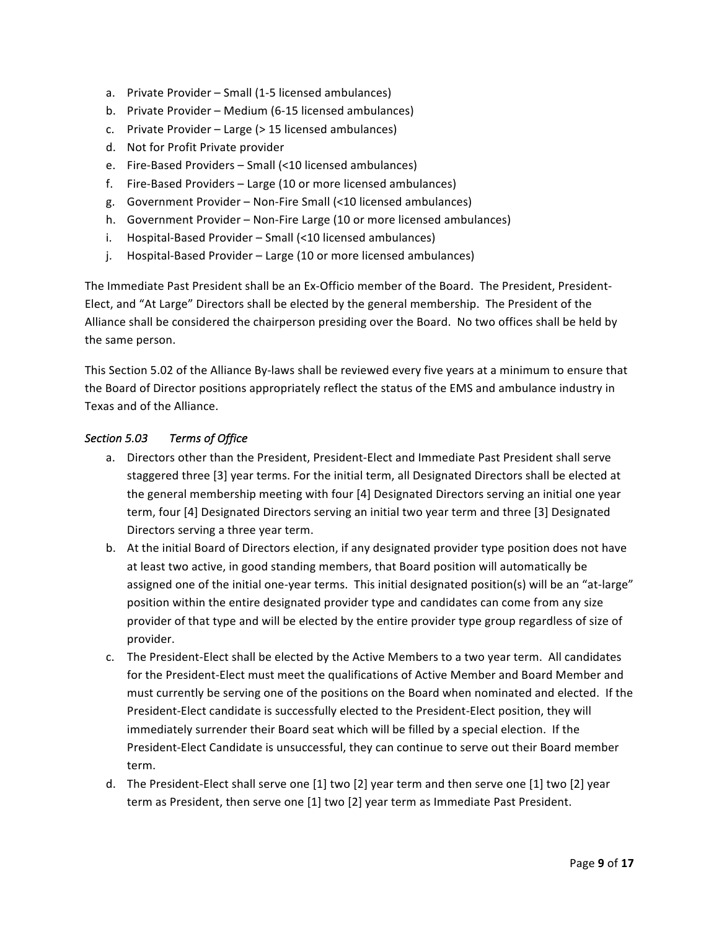- a. Private Provider Small (1-5 licensed ambulances)
- b. Private Provider Medium (6-15 licensed ambulances)
- c. Private Provider Large (> 15 licensed ambulances)
- d. Not for Profit Private provider
- e. Fire-Based Providers Small (<10 licensed ambulances)
- f. Fire-Based Providers Large (10 or more licensed ambulances)
- g. Government Provider Non-Fire Small (<10 licensed ambulances)
- h. Government Provider Non-Fire Large (10 or more licensed ambulances)
- i. Hospital-Based Provider Small (<10 licensed ambulances)
- j. Hospital-Based Provider Large (10 or more licensed ambulances)

The Immediate Past President shall be an Ex-Officio member of the Board. The President, President-Elect, and "At Large" Directors shall be elected by the general membership. The President of the Alliance shall be considered the chairperson presiding over the Board. No two offices shall be held by the same person.

This Section 5.02 of the Alliance By-laws shall be reviewed every five years at a minimum to ensure that the Board of Director positions appropriately reflect the status of the EMS and ambulance industry in Texas and of the Alliance.

### *Section 5.03 Terms of Office*

- a. Directors other than the President, President-Elect and Immediate Past President shall serve staggered three [3] year terms. For the initial term, all Designated Directors shall be elected at the general membership meeting with four [4] Designated Directors serving an initial one year term, four [4] Designated Directors serving an initial two year term and three [3] Designated Directors serving a three year term.
- b. At the initial Board of Directors election, if any designated provider type position does not have at least two active, in good standing members, that Board position will automatically be assigned one of the initial one-year terms. This initial designated position(s) will be an "at-large" position within the entire designated provider type and candidates can come from any size provider of that type and will be elected by the entire provider type group regardless of size of provider.
- c. The President-Elect shall be elected by the Active Members to a two year term. All candidates for the President-Elect must meet the qualifications of Active Member and Board Member and must currently be serving one of the positions on the Board when nominated and elected. If the President-Elect candidate is successfully elected to the President-Elect position, they will immediately surrender their Board seat which will be filled by a special election. If the President-Elect Candidate is unsuccessful, they can continue to serve out their Board member term.
- d. The President-Elect shall serve one [1] two [2] year term and then serve one [1] two [2] year term as President, then serve one [1] two [2] year term as Immediate Past President.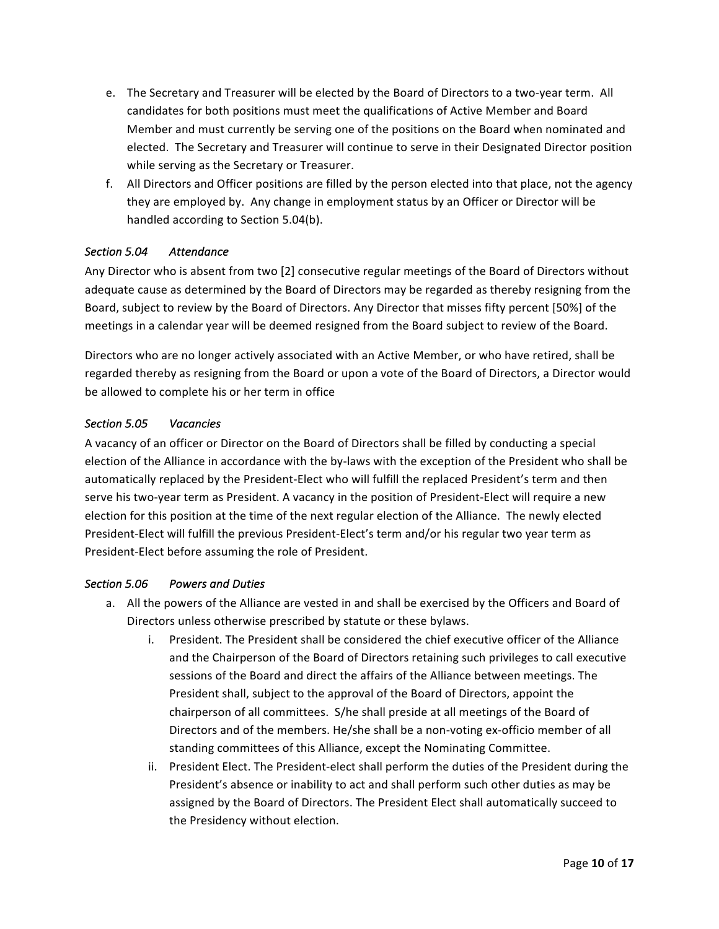- e. The Secretary and Treasurer will be elected by the Board of Directors to a two-year term. All candidates for both positions must meet the qualifications of Active Member and Board Member and must currently be serving one of the positions on the Board when nominated and elected. The Secretary and Treasurer will continue to serve in their Designated Director position while serving as the Secretary or Treasurer.
- f. All Directors and Officer positions are filled by the person elected into that place, not the agency they are employed by. Any change in employment status by an Officer or Director will be handled according to Section 5.04(b).

### *Section 5.04 Attendance*

Any Director who is absent from two [2] consecutive regular meetings of the Board of Directors without adequate cause as determined by the Board of Directors may be regarded as thereby resigning from the Board, subject to review by the Board of Directors. Any Director that misses fifty percent [50%] of the meetings in a calendar year will be deemed resigned from the Board subject to review of the Board.

Directors who are no longer actively associated with an Active Member, or who have retired, shall be regarded thereby as resigning from the Board or upon a vote of the Board of Directors, a Director would be allowed to complete his or her term in office

### *Section 5.05 Vacancies*

A vacancy of an officer or Director on the Board of Directors shall be filled by conducting a special election of the Alliance in accordance with the by-laws with the exception of the President who shall be automatically replaced by the President-Elect who will fulfill the replaced President's term and then serve his two-year term as President. A vacancy in the position of President-Elect will require a new election for this position at the time of the next regular election of the Alliance. The newly elected President-Elect will fulfill the previous President-Elect's term and/or his regular two year term as President-Elect before assuming the role of President.

### *Section 5.06 Powers and Duties*

- a. All the powers of the Alliance are vested in and shall be exercised by the Officers and Board of Directors unless otherwise prescribed by statute or these bylaws.
	- i. President. The President shall be considered the chief executive officer of the Alliance and the Chairperson of the Board of Directors retaining such privileges to call executive sessions of the Board and direct the affairs of the Alliance between meetings. The President shall, subject to the approval of the Board of Directors, appoint the chairperson of all committees. S/he shall preside at all meetings of the Board of Directors and of the members. He/she shall be a non-voting ex-officio member of all standing committees of this Alliance, except the Nominating Committee.
	- ii. President Elect. The President-elect shall perform the duties of the President during the President's absence or inability to act and shall perform such other duties as may be assigned by the Board of Directors. The President Elect shall automatically succeed to the Presidency without election.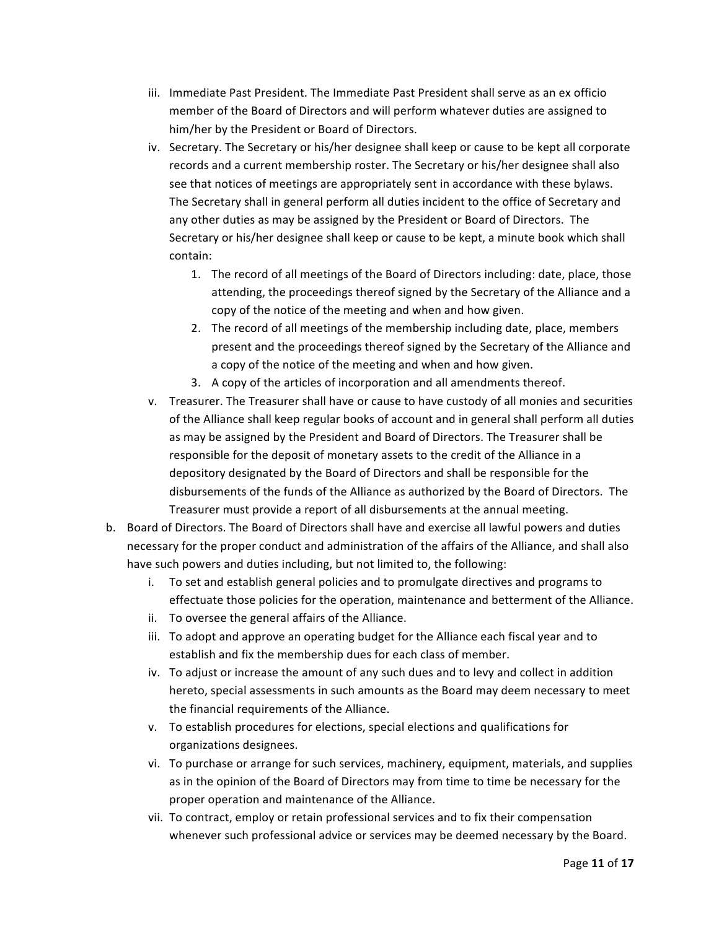- iii. Immediate Past President. The Immediate Past President shall serve as an ex officio member of the Board of Directors and will perform whatever duties are assigned to him/her by the President or Board of Directors.
- iv. Secretary. The Secretary or his/her designee shall keep or cause to be kept all corporate records and a current membership roster. The Secretary or his/her designee shall also see that notices of meetings are appropriately sent in accordance with these bylaws. The Secretary shall in general perform all duties incident to the office of Secretary and any other duties as may be assigned by the President or Board of Directors. The Secretary or his/her designee shall keep or cause to be kept, a minute book which shall contain:
	- 1. The record of all meetings of the Board of Directors including: date, place, those attending, the proceedings thereof signed by the Secretary of the Alliance and a copy of the notice of the meeting and when and how given.
	- 2. The record of all meetings of the membership including date, place, members present and the proceedings thereof signed by the Secretary of the Alliance and a copy of the notice of the meeting and when and how given.
	- 3. A copy of the articles of incorporation and all amendments thereof.
- v. Treasurer. The Treasurer shall have or cause to have custody of all monies and securities of the Alliance shall keep regular books of account and in general shall perform all duties as may be assigned by the President and Board of Directors. The Treasurer shall be responsible for the deposit of monetary assets to the credit of the Alliance in a depository designated by the Board of Directors and shall be responsible for the disbursements of the funds of the Alliance as authorized by the Board of Directors. The Treasurer must provide a report of all disbursements at the annual meeting.
- b. Board of Directors. The Board of Directors shall have and exercise all lawful powers and duties necessary for the proper conduct and administration of the affairs of the Alliance, and shall also have such powers and duties including, but not limited to, the following:
	- i. To set and establish general policies and to promulgate directives and programs to effectuate those policies for the operation, maintenance and betterment of the Alliance.
	- ii. To oversee the general affairs of the Alliance.
	- iii. To adopt and approve an operating budget for the Alliance each fiscal year and to establish and fix the membership dues for each class of member.
	- iv. To adjust or increase the amount of any such dues and to levy and collect in addition hereto, special assessments in such amounts as the Board may deem necessary to meet the financial requirements of the Alliance.
	- v. To establish procedures for elections, special elections and qualifications for organizations designees.
	- vi. To purchase or arrange for such services, machinery, equipment, materials, and supplies as in the opinion of the Board of Directors may from time to time be necessary for the proper operation and maintenance of the Alliance.
	- vii. To contract, employ or retain professional services and to fix their compensation whenever such professional advice or services may be deemed necessary by the Board.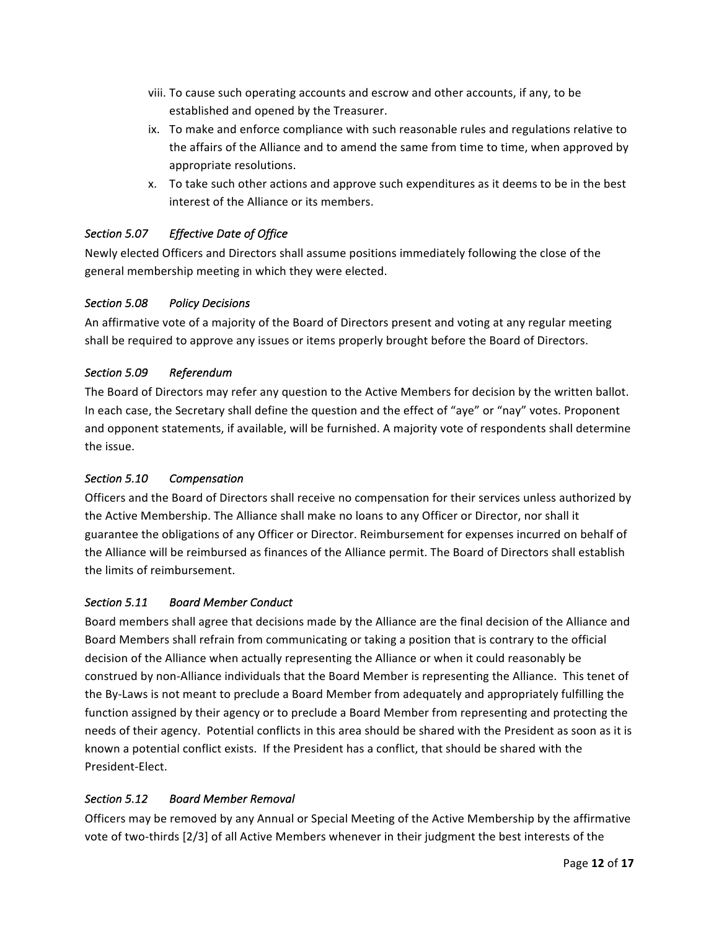- viii. To cause such operating accounts and escrow and other accounts, if any, to be established and opened by the Treasurer.
- ix. To make and enforce compliance with such reasonable rules and regulations relative to the affairs of the Alliance and to amend the same from time to time, when approved by appropriate resolutions.
- x. To take such other actions and approve such expenditures as it deems to be in the best interest of the Alliance or its members.

## Section 5.07 *Effective Date of Office*

Newly elected Officers and Directors shall assume positions immediately following the close of the general membership meeting in which they were elected.

## *Section 5.08 Policy Decisions*

An affirmative vote of a majority of the Board of Directors present and voting at any regular meeting shall be required to approve any issues or items properly brought before the Board of Directors.

### Section 5.09 Referendum

The Board of Directors may refer any question to the Active Members for decision by the written ballot. In each case, the Secretary shall define the question and the effect of "aye" or "nay" votes. Proponent and opponent statements, if available, will be furnished. A majority vote of respondents shall determine the issue.

### *Section 5.10 Compensation*

Officers and the Board of Directors shall receive no compensation for their services unless authorized by the Active Membership. The Alliance shall make no loans to any Officer or Director, nor shall it guarantee the obligations of any Officer or Director. Reimbursement for expenses incurred on behalf of the Alliance will be reimbursed as finances of the Alliance permit. The Board of Directors shall establish the limits of reimbursement.

### *Section 5.11 Board Member Conduct*

Board members shall agree that decisions made by the Alliance are the final decision of the Alliance and Board Members shall refrain from communicating or taking a position that is contrary to the official decision of the Alliance when actually representing the Alliance or when it could reasonably be construed by non-Alliance individuals that the Board Member is representing the Alliance. This tenet of the By-Laws is not meant to preclude a Board Member from adequately and appropriately fulfilling the function assigned by their agency or to preclude a Board Member from representing and protecting the needs of their agency. Potential conflicts in this area should be shared with the President as soon as it is known a potential conflict exists. If the President has a conflict, that should be shared with the President-Elect.

## *Section 5.12 Board Member Removal*

Officers may be removed by any Annual or Special Meeting of the Active Membership by the affirmative vote of two-thirds [2/3] of all Active Members whenever in their judgment the best interests of the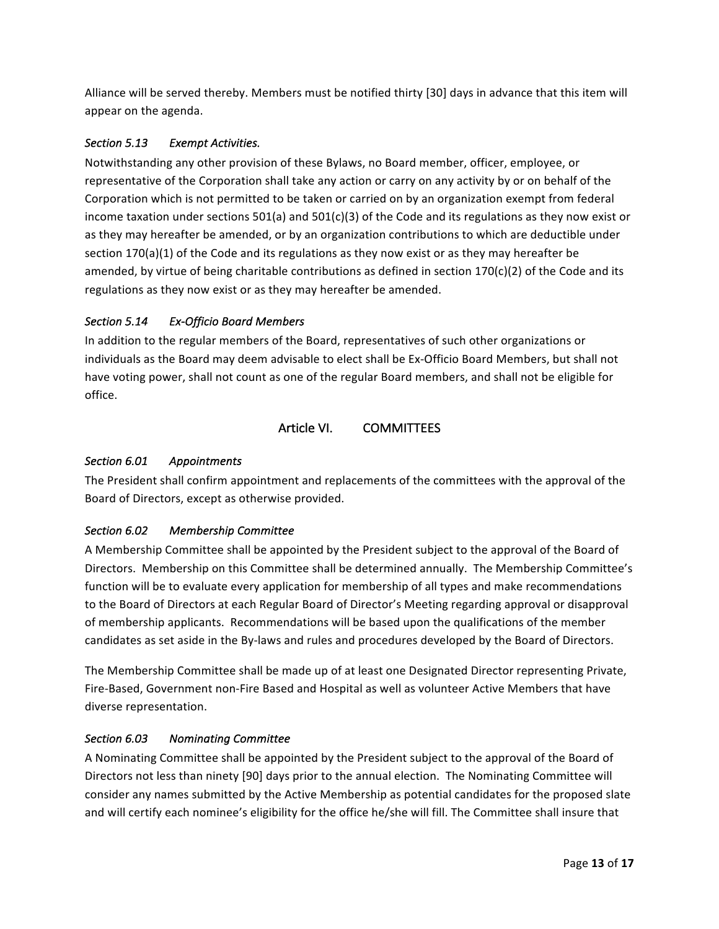Alliance will be served thereby. Members must be notified thirty [30] days in advance that this item will appear on the agenda.

# Section 5.13 **Exempt Activities.**

Notwithstanding any other provision of these Bylaws, no Board member, officer, employee, or representative of the Corporation shall take any action or carry on any activity by or on behalf of the Corporation which is not permitted to be taken or carried on by an organization exempt from federal income taxation under sections  $501(a)$  and  $501(c)(3)$  of the Code and its regulations as they now exist or as they may hereafter be amended, or by an organization contributions to which are deductible under section  $170(a)(1)$  of the Code and its regulations as they now exist or as they may hereafter be amended, by virtue of being charitable contributions as defined in section  $170(c)(2)$  of the Code and its regulations as they now exist or as they may hereafter be amended.

## *Section 5.14 Ex-Officio Board Members*

In addition to the regular members of the Board, representatives of such other organizations or individuals as the Board may deem advisable to elect shall be Ex-Officio Board Members, but shall not have voting power, shall not count as one of the regular Board members, and shall not be eligible for office.

# Article VI. COMMITTEES

# *Section 6.01 Appointments*

The President shall confirm appointment and replacements of the committees with the approval of the Board of Directors, except as otherwise provided.

## *Section 6.02 Membership Committee*

A Membership Committee shall be appointed by the President subject to the approval of the Board of Directors. Membership on this Committee shall be determined annually. The Membership Committee's function will be to evaluate every application for membership of all types and make recommendations to the Board of Directors at each Regular Board of Director's Meeting regarding approval or disapproval of membership applicants. Recommendations will be based upon the qualifications of the member candidates as set aside in the By-laws and rules and procedures developed by the Board of Directors.

The Membership Committee shall be made up of at least one Designated Director representing Private, Fire-Based, Government non-Fire Based and Hospital as well as volunteer Active Members that have diverse representation.

## *Section 6.03 Nominating Committee*

A Nominating Committee shall be appointed by the President subject to the approval of the Board of Directors not less than ninety [90] days prior to the annual election. The Nominating Committee will consider any names submitted by the Active Membership as potential candidates for the proposed slate and will certify each nominee's eligibility for the office he/she will fill. The Committee shall insure that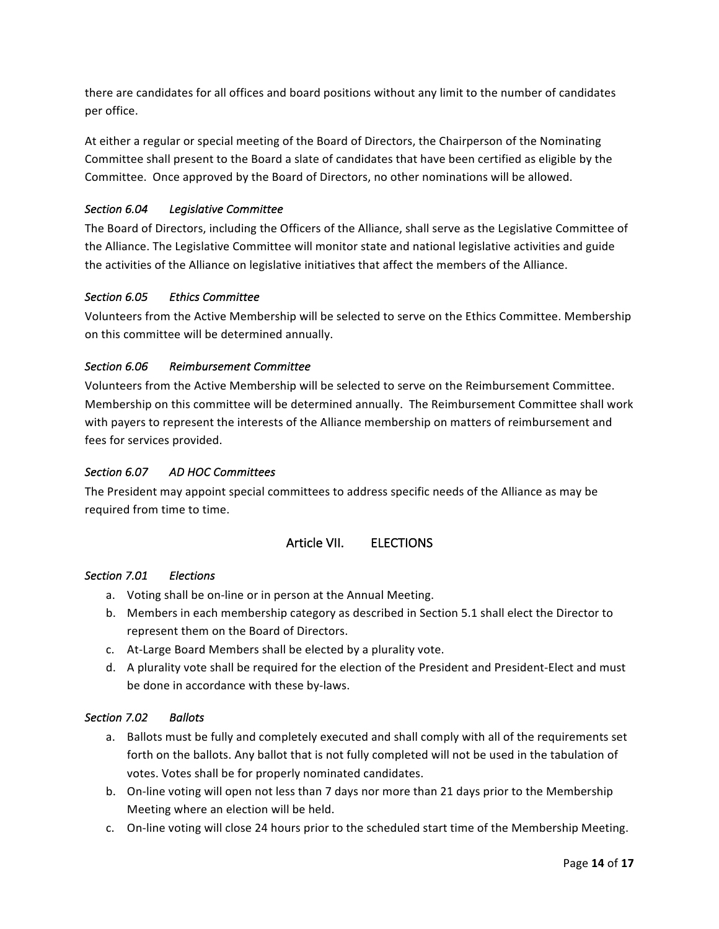there are candidates for all offices and board positions without any limit to the number of candidates per office.

At either a regular or special meeting of the Board of Directors, the Chairperson of the Nominating Committee shall present to the Board a slate of candidates that have been certified as eligible by the Committee. Once approved by the Board of Directors, no other nominations will be allowed.

# *Section 6.04 Legislative Committee*

The Board of Directors, including the Officers of the Alliance, shall serve as the Legislative Committee of the Alliance. The Legislative Committee will monitor state and national legislative activities and guide the activities of the Alliance on legislative initiatives that affect the members of the Alliance.

### *Section 6.05 Ethics Committee*

Volunteers from the Active Membership will be selected to serve on the Ethics Committee. Membership on this committee will be determined annually.

### *Section 6.06 Reimbursement Committee*

Volunteers from the Active Membership will be selected to serve on the Reimbursement Committee. Membership on this committee will be determined annually. The Reimbursement Committee shall work with payers to represent the interests of the Alliance membership on matters of reimbursement and fees for services provided.

### *Section 6.07 AD HOC Committees*

The President may appoint special committees to address specific needs of the Alliance as may be required from time to time.

## Article VII. ELECTIONS

### *Section 7.01 Elections*

- a. Voting shall be on-line or in person at the Annual Meeting.
- b. Members in each membership category as described in Section 5.1 shall elect the Director to represent them on the Board of Directors.
- c. At-Large Board Members shall be elected by a plurality vote.
- d. A plurality vote shall be required for the election of the President and President-Elect and must be done in accordance with these by-laws.

### *Section 7.02 Ballots*

- a. Ballots must be fully and completely executed and shall comply with all of the requirements set forth on the ballots. Any ballot that is not fully completed will not be used in the tabulation of votes. Votes shall be for properly nominated candidates.
- b. On-line voting will open not less than 7 days nor more than 21 days prior to the Membership Meeting where an election will be held.
- c. On-line voting will close 24 hours prior to the scheduled start time of the Membership Meeting.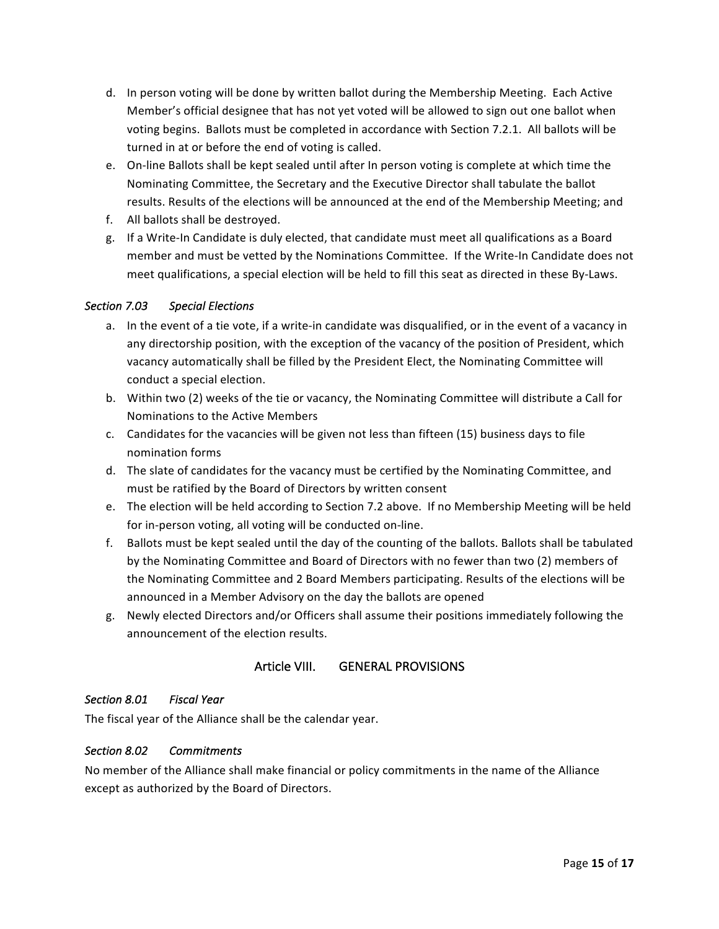- d. In person voting will be done by written ballot during the Membership Meeting. Each Active Member's official designee that has not yet voted will be allowed to sign out one ballot when voting begins. Ballots must be completed in accordance with Section 7.2.1. All ballots will be turned in at or before the end of voting is called.
- e. On-line Ballots shall be kept sealed until after In person voting is complete at which time the Nominating Committee, the Secretary and the Executive Director shall tabulate the ballot results. Results of the elections will be announced at the end of the Membership Meeting; and
- f. All ballots shall be destroyed.
- g. If a Write-In Candidate is duly elected, that candidate must meet all qualifications as a Board member and must be vetted by the Nominations Committee. If the Write-In Candidate does not meet qualifications, a special election will be held to fill this seat as directed in these By-Laws.

### *Section 7.03 Special Elections*

- a. In the event of a tie vote, if a write-in candidate was disqualified, or in the event of a vacancy in any directorship position, with the exception of the vacancy of the position of President, which vacancy automatically shall be filled by the President Elect, the Nominating Committee will conduct a special election.
- b. Within two (2) weeks of the tie or vacancy, the Nominating Committee will distribute a Call for Nominations to the Active Members
- c. Candidates for the vacancies will be given not less than fifteen (15) business days to file nomination forms
- d. The slate of candidates for the vacancy must be certified by the Nominating Committee, and must be ratified by the Board of Directors by written consent
- e. The election will be held according to Section 7.2 above. If no Membership Meeting will be held for in-person voting, all voting will be conducted on-line.
- f. Ballots must be kept sealed until the day of the counting of the ballots. Ballots shall be tabulated by the Nominating Committee and Board of Directors with no fewer than two (2) members of the Nominating Committee and 2 Board Members participating. Results of the elections will be announced in a Member Advisory on the day the ballots are opened
- g. Newly elected Directors and/or Officers shall assume their positions immediately following the announcement of the election results.

## Article VIII. GENERAL PROVISIONS

### *Section 8.01 Fiscal Year*

The fiscal year of the Alliance shall be the calendar year.

### *Section 8.02 Commitments*

No member of the Alliance shall make financial or policy commitments in the name of the Alliance except as authorized by the Board of Directors.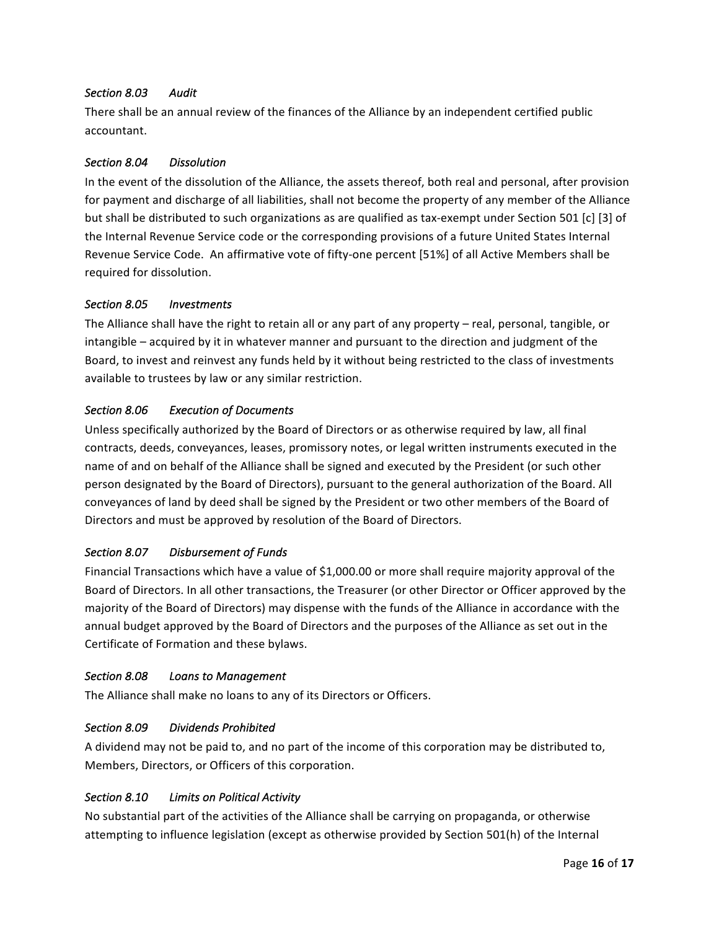### *Section 8.03 Audit*

There shall be an annual review of the finances of the Alliance by an independent certified public accountant.

### *Section 8.04 Dissolution*

In the event of the dissolution of the Alliance, the assets thereof, both real and personal, after provision for payment and discharge of all liabilities, shall not become the property of any member of the Alliance but shall be distributed to such organizations as are qualified as tax-exempt under Section 501 [c] [3] of the Internal Revenue Service code or the corresponding provisions of a future United States Internal Revenue Service Code. An affirmative vote of fifty-one percent [51%] of all Active Members shall be required for dissolution.

### *Section 8.05 Investments*

The Alliance shall have the right to retain all or any part of any property – real, personal, tangible, or intangible – acquired by it in whatever manner and pursuant to the direction and judgment of the Board, to invest and reinvest any funds held by it without being restricted to the class of investments available to trustees by law or any similar restriction.

### *Section 8.06 Execution of Documents*

Unless specifically authorized by the Board of Directors or as otherwise required by law, all final contracts, deeds, conveyances, leases, promissory notes, or legal written instruments executed in the name of and on behalf of the Alliance shall be signed and executed by the President (or such other person designated by the Board of Directors), pursuant to the general authorization of the Board. All conveyances of land by deed shall be signed by the President or two other members of the Board of Directors and must be approved by resolution of the Board of Directors.

### *Section 8.07 Disbursement of Funds*

Financial Transactions which have a value of \$1,000.00 or more shall require majority approval of the Board of Directors. In all other transactions, the Treasurer (or other Director or Officer approved by the majority of the Board of Directors) may dispense with the funds of the Alliance in accordance with the annual budget approved by the Board of Directors and the purposes of the Alliance as set out in the Certificate of Formation and these bylaws.

### Section 8.08 **Loans** to Management

The Alliance shall make no loans to any of its Directors or Officers.

### *Section 8.09 Dividends Prohibited*

A dividend may not be paid to, and no part of the income of this corporation may be distributed to, Members, Directors, or Officers of this corporation.

### Section 8.10 **Limits** on Political Activity

No substantial part of the activities of the Alliance shall be carrying on propaganda, or otherwise attempting to influence legislation (except as otherwise provided by Section 501(h) of the Internal